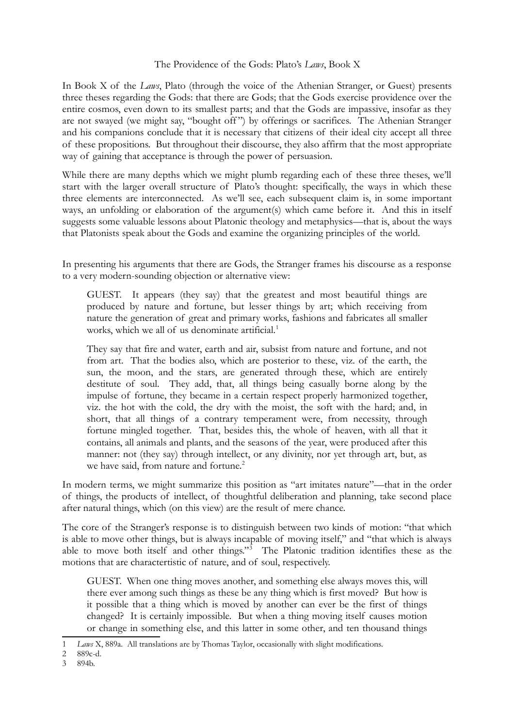## The Providence of the Gods: Plato's *Laws*, Book X

In Book X of the *Laws*, Plato (through the voice of the Athenian Stranger, or Guest) presents three theses regarding the Gods: that there are Gods; that the Gods exercise providence over the entire cosmos, even down to its smallest parts; and that the Gods are impassive, insofar as they are not swayed (we might say, "bought off") by offerings or sacrifices. The Athenian Stranger and his companions conclude that it is necessary that citizens of their ideal city accept all three of these propositions. But throughout their discourse, they also affirm that the most appropriate way of gaining that acceptance is through the power of persuasion.

While there are many depths which we might plumb regarding each of these three theses, we'll start with the larger overall structure of Plato's thought: specifically, the ways in which these three elements are interconnected. As we'll see, each subsequent claim is, in some important ways, an unfolding or elaboration of the argument(s) which came before it. And this in itself suggests some valuable lessons about Platonic theology and metaphysics—that is, about the ways that Platonists speak about the Gods and examine the organizing principles of the world.

In presenting his arguments that there are Gods, the Stranger frames his discourse as a response to a very modern-sounding objection or alternative view:

GUEST. It appears (they say) that the greatest and most beautiful things are produced by nature and fortune, but lesser things by art; which receiving from nature the generation of great and primary works, fashions and fabricates all smaller works, which we all of us denominate artificial.<sup>[1](#page-0-0)</sup>

They say that fire and water, earth and air, subsist from nature and fortune, and not from art. That the bodies also, which are posterior to these, viz. of the earth, the sun, the moon, and the stars, are generated through these, which are entirely destitute of soul. They add, that, all things being casually borne along by the impulse of fortune, they became in a certain respect properly harmonized together, viz. the hot with the cold, the dry with the moist, the soft with the hard; and, in short, that all things of a contrary temperament were, from necessity, through fortune mingled together. That, besides this, the whole of heaven, with all that it contains, all animals and plants, and the seasons of the year, were produced after this manner: not (they say) through intellect, or any divinity, nor yet through art, but, as we have said, from nature and fortune.<sup>[2](#page-0-1)</sup>

In modern terms, we might summarize this position as "art imitates nature"—that in the order of things, the products of intellect, of thoughtful deliberation and planning, take second place after natural things, which (on this view) are the result of mere chance.

The core of the Stranger's response is to distinguish between two kinds of motion: "that which is able to move other things, but is always incapable of moving itself," and "that which is always able to move both itself and other things."[3](#page-0-2) The Platonic tradition identifies these as the motions that are charactertistic of nature, and of soul, respectively.

GUEST. When one thing moves another, and something else always moves this, will there ever among such things as these be any thing which is first moved? But how is it possible that a thing which is moved by another can ever be the first of things changed? It is certainly impossible. But when a thing moving itself causes motion or change in something else, and this latter in some other, and ten thousand things

<span id="page-0-0"></span><sup>1</sup> *Laws* X, 889a. All translations are by Thomas Taylor, occasionally with slight modifications.

<span id="page-0-1"></span><sup>2</sup> 889c-d.

<span id="page-0-2"></span><sup>3</sup> 894b.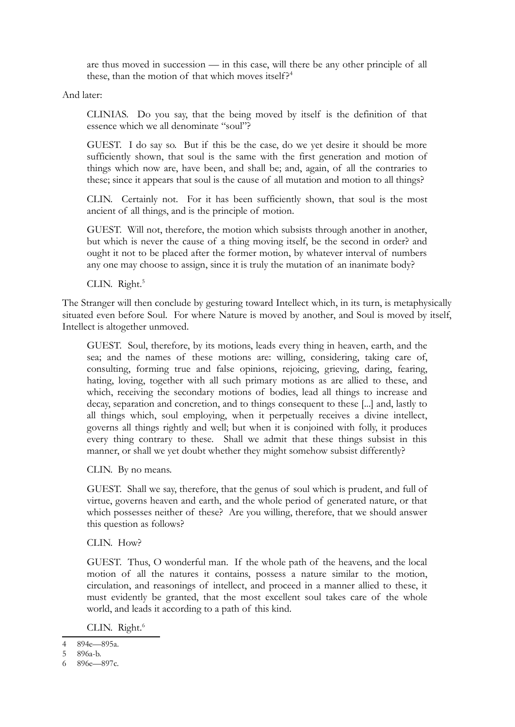are thus moved in succession — in this case, will there be any other principle of all these, than the motion of that which moves itself?<sup>[4](#page-1-0)</sup>

And later:

CLINIAS. Do you say, that the being moved by itself is the definition of that essence which we all denominate "soul"?

GUEST. I do say so. But if this be the case, do we yet desire it should be more sufficiently shown, that soul is the same with the first generation and motion of things which now are, have been, and shall be; and, again, of all the contraries to these; since it appears that soul is the cause of all mutation and motion to all things?

CLIN. Certainly not. For it has been sufficiently shown, that soul is the most ancient of all things, and is the principle of motion.

GUEST. Will not, therefore, the motion which subsists through another in another, but which is never the cause of a thing moving itself, be the second in order? and ought it not to be placed after the former motion, by whatever interval of numbers any one may choose to assign, since it is truly the mutation of an inanimate body?

CLIN. Right.<sup>[5](#page-1-1)</sup>

The Stranger will then conclude by gesturing toward Intellect which, in its turn, is metaphysically situated even before Soul. For where Nature is moved by another, and Soul is moved by itself, Intellect is altogether unmoved.

GUEST. Soul, therefore, by its motions, leads every thing in heaven, earth, and the sea; and the names of these motions are: willing, considering, taking care of, consulting, forming true and false opinions, rejoicing, grieving, daring, fearing, hating, loving, together with all such primary motions as are allied to these, and which, receiving the secondary motions of bodies, lead all things to increase and decay, separation and concretion, and to things consequent to these [...] and, lastly to all things which, soul employing, when it perpetually receives a divine intellect, governs all things rightly and well; but when it is conjoined with folly, it produces every thing contrary to these. Shall we admit that these things subsist in this manner, or shall we yet doubt whether they might somehow subsist differently?

CLIN. By no means.

GUEST. Shall we say, therefore, that the genus of soul which is prudent, and full of virtue, governs heaven and earth, and the whole period of generated nature, or that which possesses neither of these? Are you willing, therefore, that we should answer this question as follows?

CLIN. How?

GUEST. Thus, O wonderful man. If the whole path of the heavens, and the local motion of all the natures it contains, possess a nature similar to the motion, circulation, and reasonings of intellect, and proceed in a manner allied to these, it must evidently be granted, that the most excellent soul takes care of the whole world, and leads it according to a path of this kind.

CLIN. Right.<sup>[6](#page-1-2)</sup>

<span id="page-1-0"></span><sup>4</sup> 894e—895a.

<span id="page-1-1"></span><sup>5</sup> 896a-b.

<span id="page-1-2"></span><sup>6</sup> 896e—897c.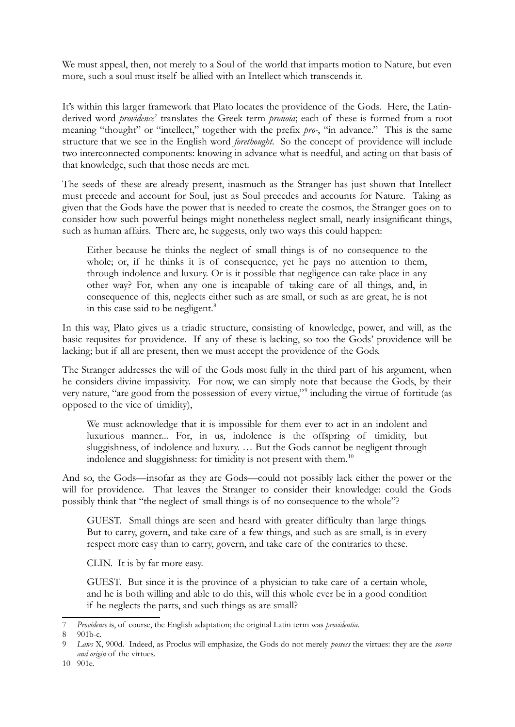We must appeal, then, not merely to a Soul of the world that imparts motion to Nature, but even more, such a soul must itself be allied with an Intellect which transcends it.

It's within this larger framework that Plato locates the providence of the Gods. Here, the Latinderived word *providence[7](#page-2-0)* translates the Greek term *pronoia*; each of these is formed from a root meaning "thought" or "intellect," together with the prefix *pro-*, "in advance." This is the same structure that we see in the English word *forethought*. So the concept of providence will include two interconnected components: knowing in advance what is needful, and acting on that basis of that knowledge, such that those needs are met.

The seeds of these are already present, inasmuch as the Stranger has just shown that Intellect must precede and account for Soul, just as Soul precedes and accounts for Nature. Taking as given that the Gods have the power that is needed to create the cosmos, the Stranger goes on to consider how such powerful beings might nonetheless neglect small, nearly insignificant things, such as human affairs. There are, he suggests, only two ways this could happen:

Either because he thinks the neglect of small things is of no consequence to the whole; or, if he thinks it is of consequence, yet he pays no attention to them, through indolence and luxury. Or is it possible that negligence can take place in any other way? For, when any one is incapable of taking care of all things, and, in consequence of this, neglects either such as are small, or such as are great, he is not in this case said to be negligent.<sup>[8](#page-2-1)</sup>

In this way, Plato gives us a triadic structure, consisting of knowledge, power, and will, as the basic requsites for providence. If any of these is lacking, so too the Gods' providence will be lacking; but if all are present, then we must accept the providence of the Gods.

The Stranger addresses the will of the Gods most fully in the third part of his argument, when he considers divine impassivity. For now, we can simply note that because the Gods, by their very nature, "are good from the possession of every virtue,"[9](#page-2-2) including the virtue of fortitude (as opposed to the vice of timidity),

We must acknowledge that it is impossible for them ever to act in an indolent and luxurious manner... For, in us, indolence is the offspring of timidity, but sluggishness, of indolence and luxury. … But the Gods cannot be negligent through indolence and sluggishness: for timidity is not present with them.<sup>[10](#page-2-3)</sup>

And so, the Gods—insofar as they are Gods—could not possibly lack either the power or the will for providence. That leaves the Stranger to consider their knowledge: could the Gods possibly think that "the neglect of small things is of no consequence to the whole"?

GUEST. Small things are seen and heard with greater difficulty than large things. But to carry, govern, and take care of a few things, and such as are small, is in every respect more easy than to carry, govern, and take care of the contraries to these.

CLIN. It is by far more easy.

GUEST. But since it is the province of a physician to take care of a certain whole, and he is both willing and able to do this, will this whole ever be in a good condition if he neglects the parts, and such things as are small?

<span id="page-2-0"></span><sup>7</sup> *Providence* is, of course, the English adaptation; the original Latin term was *providentia*.

<span id="page-2-1"></span> $901<sub>b-c.</sub>$ 

<span id="page-2-3"></span><span id="page-2-2"></span><sup>9</sup> *Laws* X, 900d. Indeed, as Proclus will emphasize, the Gods do not merely *possess* the virtues: they are the *source and origin* of the virtues.